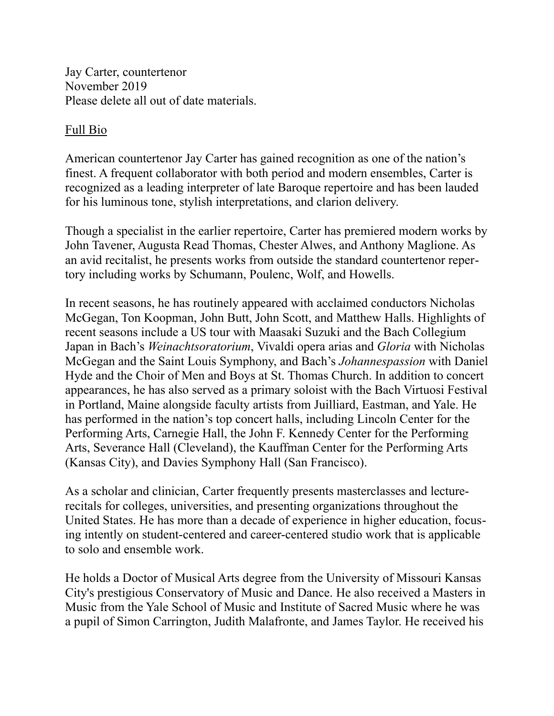Jay Carter, countertenor November 2019 Please delete all out of date materials.

## Full Bio

American countertenor Jay Carter has gained recognition as one of the nation's finest. A frequent collaborator with both period and modern ensembles, Carter is recognized as a leading interpreter of late Baroque repertoire and has been lauded for his luminous tone, stylish interpretations, and clarion delivery.

Though a specialist in the earlier repertoire, Carter has premiered modern works by John Tavener, Augusta Read Thomas, Chester Alwes, and Anthony Maglione. As an avid recitalist, he presents works from outside the standard countertenor repertory including works by Schumann, Poulenc, Wolf, and Howells.

In recent seasons, he has routinely appeared with acclaimed conductors Nicholas McGegan, Ton Koopman, John Butt, John Scott, and Matthew Halls. Highlights of recent seasons include a US tour with Maasaki Suzuki and the Bach Collegium Japan in Bach's *Weinachtsoratorium*, Vivaldi opera arias and *Gloria* with Nicholas McGegan and the Saint Louis Symphony, and Bach's *Johannespassion* with Daniel Hyde and the Choir of Men and Boys at St. Thomas Church. In addition to concert appearances, he has also served as a primary soloist with the Bach Virtuosi Festival in Portland, Maine alongside faculty artists from Juilliard, Eastman, and Yale. He has performed in the nation's top concert halls, including Lincoln Center for the Performing Arts, Carnegie Hall, the John F. Kennedy Center for the Performing Arts, Severance Hall (Cleveland), the Kauffman Center for the Performing Arts (Kansas City), and Davies Symphony Hall (San Francisco).

As a scholar and clinician, Carter frequently presents masterclasses and lecturerecitals for colleges, universities, and presenting organizations throughout the United States. He has more than a decade of experience in higher education, focusing intently on student-centered and career-centered studio work that is applicable to solo and ensemble work.

He holds a Doctor of Musical Arts degree from the University of Missouri Kansas City's prestigious Conservatory of Music and Dance. He also received a Masters in Music from the Yale School of Music and Institute of Sacred Music where he was a pupil of Simon Carrington, Judith Malafronte, and James Taylor. He received his